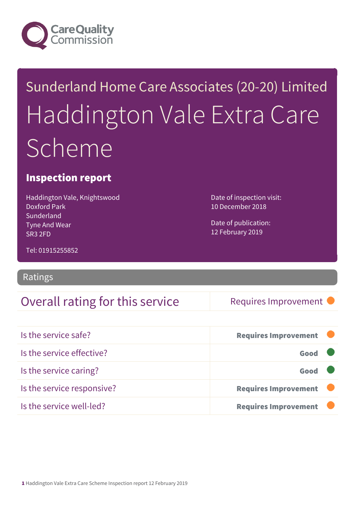

## Sunderland Home Care Associates (20-20) Limited Haddington Vale Extra Care **Scheme**

#### Inspection report

Haddington Vale, Knightswood Doxford Park Sunderland Tyne And Wear SR3 2FD

Date of inspection visit: 10 December 2018

Date of publication: 12 February 2019

Tel: 01915255852

#### Ratings

#### Overall rating for this service Requires Improvement

| Is the service safe?       | <b>Requires Improvement</b> |
|----------------------------|-----------------------------|
| Is the service effective?  | Good                        |
| Is the service caring?     | Good                        |
| Is the service responsive? | <b>Requires Improvement</b> |
| Is the service well-led?   | <b>Requires Improvement</b> |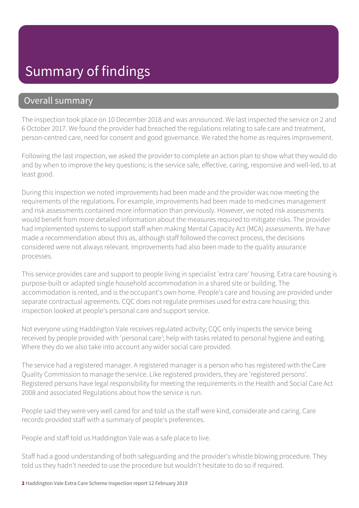#### Summary of findings

#### Overall summary

The inspection took place on 10 December 2018 and was announced. We last inspected the service on 2 and 6 October 2017. We found the provider had breached the regulations relating to safe care and treatment, person-centred care, need for consent and good governance. We rated the home as requires improvement.

Following the last inspection, we asked the provider to complete an action plan to show what they would do and by when to improve the key questions; is the service safe, effective, caring, responsive and well-led, to at least good.

During this inspection we noted improvements had been made and the provider was now meeting the requirements of the regulations. For example, improvements had been made to medicines management and risk assessments contained more information than previously. However, we noted risk assessments would benefit from more detailed information about the measures required to mitigate risks. The provider had implemented systems to support staff when making Mental Capacity Act (MCA) assessments. We have made a recommendation about this as, although staff followed the correct process, the decisions considered were not always relevant. Improvements had also been made to the quality assurance processes.

This service provides care and support to people living in specialist 'extra care' housing. Extra care housing is purpose-built or adapted single household accommodation in a shared site or building. The accommodation is rented, and is the occupant's own home. People's care and housing are provided under separate contractual agreements. CQC does not regulate premises used for extra care housing; this inspection looked at people's personal care and support service.

Not everyone using Haddington Vale receives regulated activity; CQC only inspects the service being received by people provided with 'personal care'; help with tasks related to personal hygiene and eating. Where they do we also take into account any wider social care provided.

The service had a registered manager. A registered manager is a person who has registered with the Care Quality Commission to manage the service. Like registered providers, they are 'registered persons'. Registered persons have legal responsibility for meeting the requirements in the Health and Social Care Act 2008 and associated Regulations about how the service is run.

People said they were very well cared for and told us the staff were kind, considerate and caring. Care records provided staff with a summary of people's preferences.

People and staff told us Haddington Vale was a safe place to live.

Staff had a good understanding of both safeguarding and the provider's whistle blowing procedure. They told us they hadn't needed to use the procedure but wouldn't hesitate to do so if required.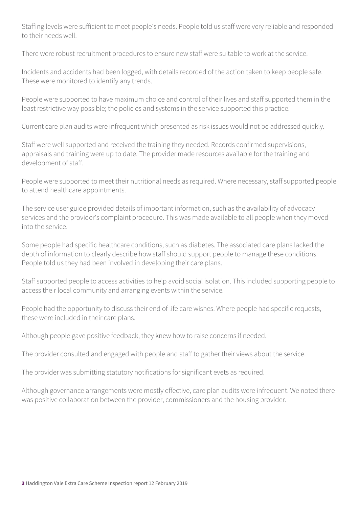Staffing levels were sufficient to meet people's needs. People told us staff were very reliable and responded to their needs well.

There were robust recruitment procedures to ensure new staff were suitable to work at the service.

Incidents and accidents had been logged, with details recorded of the action taken to keep people safe. These were monitored to identify any trends.

People were supported to have maximum choice and control of their lives and staff supported them in the least restrictive way possible; the policies and systems in the service supported this practice.

Current care plan audits were infrequent which presented as risk issues would not be addressed quickly.

Staff were well supported and received the training they needed. Records confirmed supervisions, appraisals and training were up to date. The provider made resources available for the training and development of staff.

People were supported to meet their nutritional needs as required. Where necessary, staff supported people to attend healthcare appointments.

The service user guide provided details of important information, such as the availability of advocacy services and the provider's complaint procedure. This was made available to all people when they moved into the service.

Some people had specific healthcare conditions, such as diabetes. The associated care plans lacked the depth of information to clearly describe how staff should support people to manage these conditions. People told us they had been involved in developing their care plans.

Staff supported people to access activities to help avoid social isolation. This included supporting people to access their local community and arranging events within the service.

People had the opportunity to discuss their end of life care wishes. Where people had specific requests, these were included in their care plans.

Although people gave positive feedback, they knew how to raise concerns if needed.

The provider consulted and engaged with people and staff to gather their views about the service.

The provider was submitting statutory notifications for significant evets as required.

Although governance arrangements were mostly effective, care plan audits were infrequent. We noted there was positive collaboration between the provider, commissioners and the housing provider.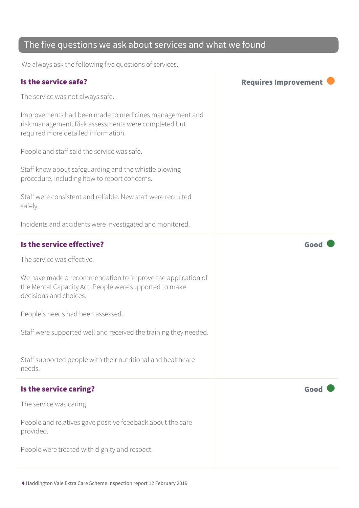#### The five questions we ask about services and what we found

We always ask the following five questions of services.

| Is the service safe?                                                                                                                                  | <b>Requires Improvement</b> |
|-------------------------------------------------------------------------------------------------------------------------------------------------------|-----------------------------|
| The service was not always safe.                                                                                                                      |                             |
| Improvements had been made to medicines management and<br>risk management. Risk assessments were completed but<br>required more detailed information. |                             |
| People and staff said the service was safe.                                                                                                           |                             |
| Staff knew about safeguarding and the whistle blowing<br>procedure, including how to report concerns.                                                 |                             |
| Staff were consistent and reliable. New staff were recruited<br>safely.                                                                               |                             |
| Incidents and accidents were investigated and monitored.                                                                                              |                             |
| Is the service effective?                                                                                                                             | Good                        |
| The service was effective.                                                                                                                            |                             |
| We have made a recommendation to improve the application of<br>the Mental Capacity Act. People were supported to make<br>decisions and choices.       |                             |
| People's needs had been assessed.                                                                                                                     |                             |
| Staff were supported well and received the training they needed.                                                                                      |                             |
| Staff supported people with their nutritional and healthcare<br>needs.                                                                                |                             |
| Is the service caring?                                                                                                                                | Good                        |
| The service was caring.                                                                                                                               |                             |
| People and relatives gave positive feedback about the care<br>provided.                                                                               |                             |
| People were treated with dignity and respect.                                                                                                         |                             |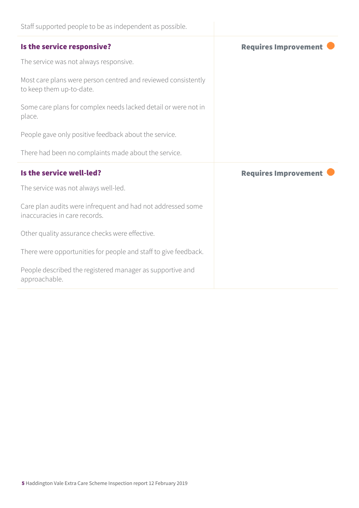| Staff supported people to be as independent as possible.                                     |                             |
|----------------------------------------------------------------------------------------------|-----------------------------|
| Is the service responsive?                                                                   | <b>Requires Improvement</b> |
| The service was not always responsive.                                                       |                             |
| Most care plans were person centred and reviewed consistently<br>to keep them up-to-date.    |                             |
| Some care plans for complex needs lacked detail or were not in<br>place.                     |                             |
| People gave only positive feedback about the service.                                        |                             |
| There had been no complaints made about the service.                                         |                             |
|                                                                                              |                             |
| Is the service well-led?                                                                     | <b>Requires Improvement</b> |
| The service was not always well-led.                                                         |                             |
| Care plan audits were infrequent and had not addressed some<br>inaccuracies in care records. |                             |
| Other quality assurance checks were effective.                                               |                             |
| There were opportunities for people and staff to give feedback.                              |                             |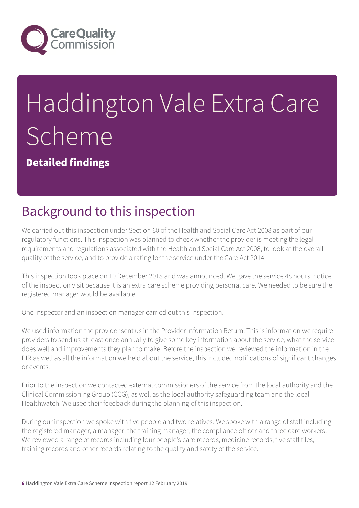

# Haddington Vale Extra Care Scheme

Detailed findings

## Background to this inspection

We carried out this inspection under Section 60 of the Health and Social Care Act 2008 as part of our regulatory functions. This inspection was planned to check whether the provider is meeting the legal requirements and regulations associated with the Health and Social Care Act 2008, to look at the overall quality of the service, and to provide a rating for the service under the Care Act 2014.

This inspection took place on 10 December 2018 and was announced. We gave the service 48 hours' notice of the inspection visit because it is an extra care scheme providing personal care. We needed to be sure the registered manager would be available.

One inspector and an inspection manager carried out this inspection.

We used information the provider sent us in the Provider Information Return. This is information we require providers to send us at least once annually to give some key information about the service, what the service does well and improvements they plan to make. Before the inspection we reviewed the information in the PIR as well as all the information we held about the service, this included notifications of significant changes or events.

Prior to the inspection we contacted external commissioners of the service from the local authority and the Clinical Commissioning Group (CCG), as well as the local authority safeguarding team and the local Healthwatch. We used their feedback during the planning of this inspection.

During our inspection we spoke with five people and two relatives. We spoke with a range of staff including the registered manager, a manager, the training manager, the compliance officer and three care workers. We reviewed a range of records including four people's care records, medicine records, five staff files, training records and other records relating to the quality and safety of the service.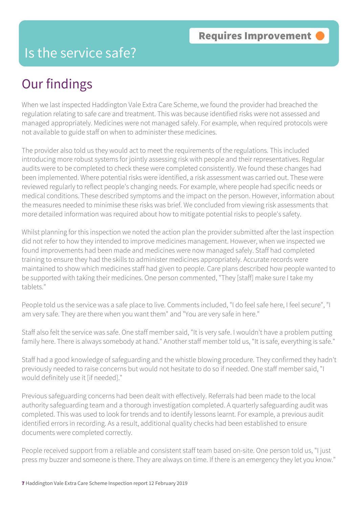#### Is the service safe?

## Our findings

When we last inspected Haddington Vale Extra Care Scheme, we found the provider had breached the regulation relating to safe care and treatment. This was because identified risks were not assessed and managed appropriately. Medicines were not managed safely. For example, when required protocols were not available to guide staff on when to administer these medicines.

The provider also told us they would act to meet the requirements of the regulations. This included introducing more robust systems for jointly assessing risk with people and their representatives. Regular audits were to be completed to check these were completed consistently. We found these changes had been implemented. Where potential risks were identified, a risk assessment was carried out. These were reviewed regularly to reflect people's changing needs. For example, where people had specific needs or medical conditions. These described symptoms and the impact on the person. However, information about the measures needed to minimise these risks was brief. We concluded from viewing risk assessments that more detailed information was required about how to mitigate potential risks to people's safety.

Whilst planning for this inspection we noted the action plan the provider submitted after the last inspection did not refer to how they intended to improve medicines management. However, when we inspected we found improvements had been made and medicines were now managed safely. Staff had completed training to ensure they had the skills to administer medicines appropriately. Accurate records were maintained to show which medicines staff had given to people. Care plans described how people wanted to be supported with taking their medicines. One person commented, "They [staff] make sure I take my tablets."

People told us the service was a safe place to live. Comments included, "I do feel safe here, I feel secure", "I am very safe. They are there when you want them" and "You are very safe in here."

Staff also felt the service was safe. One staff member said, "It is very safe. I wouldn't have a problem putting family here. There is always somebody at hand." Another staff member told us, "It is safe, everything is safe."

Staff had a good knowledge of safeguarding and the whistle blowing procedure. They confirmed they hadn't previously needed to raise concerns but would not hesitate to do so if needed. One staff member said, "I would definitely use it [if needed]."

Previous safeguarding concerns had been dealt with effectively. Referrals had been made to the local authority safeguarding team and a thorough investigation completed. A quarterly safeguarding audit was completed. This was used to look for trends and to identify lessons learnt. For example, a previous audit identified errors in recording. As a result, additional quality checks had been established to ensure documents were completed correctly.

People received support from a reliable and consistent staff team based on-site. One person told us, "I just press my buzzer and someone is there. They are always on time. If there is an emergency they let you know."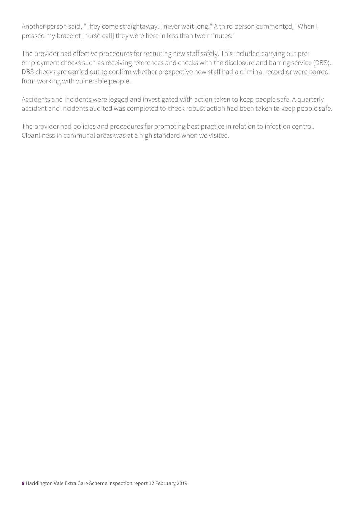Another person said, "They come straightaway, I never wait long." A third person commented, "When I pressed my bracelet [nurse call] they were here in less than two minutes."

The provider had effective procedures for recruiting new staff safely. This included carrying out preemployment checks such as receiving references and checks with the disclosure and barring service (DBS). DBS checks are carried out to confirm whether prospective new staff had a criminal record or were barred from working with vulnerable people.

Accidents and incidents were logged and investigated with action taken to keep people safe. A quarterly accident and incidents audited was completed to check robust action had been taken to keep people safe.

The provider had policies and procedures for promoting best practice in relation to infection control. Cleanliness in communal areas was at a high standard when we visited.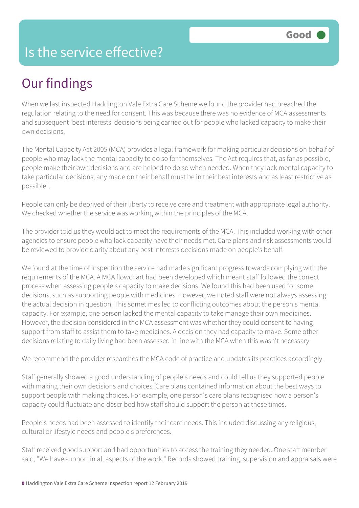#### Is the service effective?

## Our findings

When we last inspected Haddington Vale Extra Care Scheme we found the provider had breached the regulation relating to the need for consent. This was because there was no evidence of MCA assessments and subsequent 'best interests' decisions being carried out for people who lacked capacity to make their own decisions.

The Mental Capacity Act 2005 (MCA) provides a legal framework for making particular decisions on behalf of people who may lack the mental capacity to do so for themselves. The Act requires that, as far as possible, people make their own decisions and are helped to do so when needed. When they lack mental capacity to take particular decisions, any made on their behalf must be in their best interests and as least restrictive as possible".

People can only be deprived of their liberty to receive care and treatment with appropriate legal authority. We checked whether the service was working within the principles of the MCA.

The provider told us they would act to meet the requirements of the MCA. This included working with other agencies to ensure people who lack capacity have their needs met. Care plans and risk assessments would be reviewed to provide clarity about any best interests decisions made on people's behalf.

We found at the time of inspection the service had made significant progress towards complying with the requirements of the MCA. A MCA flowchart had been developed which meant staff followed the correct process when assessing people's capacity to make decisions. We found this had been used for some decisions, such as supporting people with medicines. However, we noted staff were not always assessing the actual decision in question. This sometimes led to conflicting outcomes about the person's mental capacity. For example, one person lacked the mental capacity to take manage their own medicines. However, the decision considered in the MCA assessment was whether they could consent to having support from staff to assist them to take medicines. A decision they had capacity to make. Some other decisions relating to daily living had been assessed in line with the MCA when this wasn't necessary.

We recommend the provider researches the MCA code of practice and updates its practices accordingly.

Staff generally showed a good understanding of people's needs and could tell us they supported people with making their own decisions and choices. Care plans contained information about the best ways to support people with making choices. For example, one person's care plans recognised how a person's capacity could fluctuate and described how staff should support the person at these times.

People's needs had been assessed to identify their care needs. This included discussing any religious, cultural or lifestyle needs and people's preferences.

Staff received good support and had opportunities to access the training they needed. One staff member said, "We have support in all aspects of the work." Records showed training, supervision and appraisals were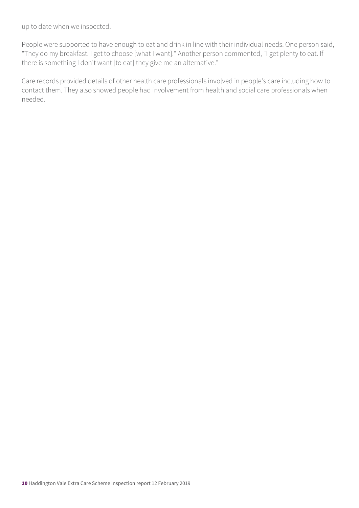up to date when we inspected.

People were supported to have enough to eat and drink in line with their individual needs. One person said, "They do my breakfast. I get to choose [what I want]." Another person commented, "I get plenty to eat. If there is something I don't want [to eat] they give me an alternative."

Care records provided details of other health care professionals involved in people's care including how to contact them. They also showed people had involvement from health and social care professionals when needed.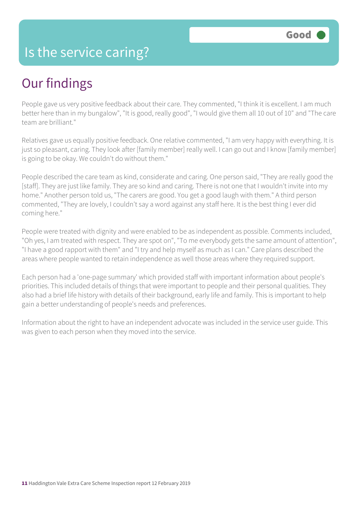#### Is the service caring?

## Our findings

People gave us very positive feedback about their care. They commented, "I think it is excellent. I am much better here than in my bungalow", "It is good, really good", "I would give them all 10 out of 10" and "The care team are brilliant."

Relatives gave us equally positive feedback. One relative commented, "I am very happy with everything. It is just so pleasant, caring. They look after [family member] really well. I can go out and I know [family member] is going to be okay. We couldn't do without them."

People described the care team as kind, considerate and caring. One person said, "They are really good the [staff]. They are just like family. They are so kind and caring. There is not one that I wouldn't invite into my home." Another person told us, "The carers are good. You get a good laugh with them." A third person commented, "They are lovely, I couldn't say a word against any staff here. It is the best thing I ever did coming here."

People were treated with dignity and were enabled to be as independent as possible. Comments included, "Oh yes, I am treated with respect. They are spot on", "To me everybody gets the same amount of attention", "I have a good rapport with them" and "I try and help myself as much as I can." Care plans described the areas where people wanted to retain independence as well those areas where they required support.

Each person had a 'one-page summary' which provided staff with important information about people's priorities. This included details of things that were important to people and their personal qualities. They also had a brief life history with details of their background, early life and family. This is important to help gain a better understanding of people's needs and preferences.

Information about the right to have an independent advocate was included in the service user guide. This was given to each person when they moved into the service.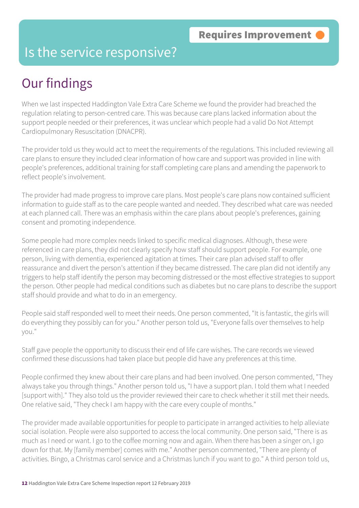#### Is the service responsive?

## Our findings

When we last inspected Haddington Vale Extra Care Scheme we found the provider had breached the regulation relating to person-centred care. This was because care plans lacked information about the support people needed or their preferences, it was unclear which people had a valid Do Not Attempt Cardiopulmonary Resuscitation (DNACPR).

The provider told us they would act to meet the requirements of the regulations. This included reviewing all care plans to ensure they included clear information of how care and support was provided in line with people's preferences, additional training for staff completing care plans and amending the paperwork to reflect people's involvement.

The provider had made progress to improve care plans. Most people's care plans now contained sufficient information to guide staff as to the care people wanted and needed. They described what care was needed at each planned call. There was an emphasis within the care plans about people's preferences, gaining consent and promoting independence.

Some people had more complex needs linked to specific medical diagnoses. Although, these were referenced in care plans, they did not clearly specify how staff should support people. For example, one person, living with dementia, experienced agitation at times. Their care plan advised staff to offer reassurance and divert the person's attention if they became distressed. The care plan did not identify any triggers to help staff identify the person may becoming distressed or the most effective strategies to support the person. Other people had medical conditions such as diabetes but no care plans to describe the support staff should provide and what to do in an emergency.

People said staff responded well to meet their needs. One person commented, "It is fantastic, the girls will do everything they possibly can for you." Another person told us, "Everyone falls over themselves to help you."

Staff gave people the opportunity to discuss their end of life care wishes. The care records we viewed confirmed these discussions had taken place but people did have any preferences at this time.

People confirmed they knew about their care plans and had been involved. One person commented, "They always take you through things." Another person told us, "I have a support plan. I told them what I needed [support with]." They also told us the provider reviewed their care to check whether it still met their needs. One relative said, "They check I am happy with the care every couple of months."

The provider made available opportunities for people to participate in arranged activities to help alleviate social isolation. People were also supported to access the local community. One person said, "There is as much as I need or want. I go to the coffee morning now and again. When there has been a singer on, I go down for that. My [family member] comes with me." Another person commented, "There are plenty of activities. Bingo, a Christmas carol service and a Christmas lunch if you want to go." A third person told us,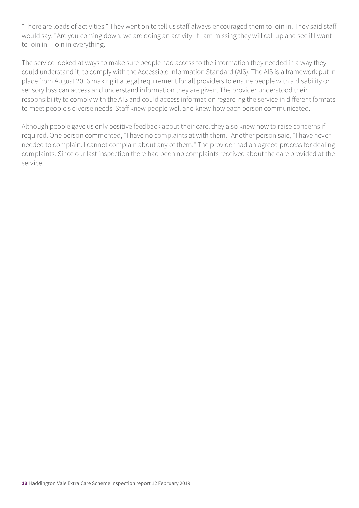"There are loads of activities." They went on to tell us staff always encouraged them to join in. They said staff would say, "Are you coming down, we are doing an activity. If I am missing they will call up and see if I want to join in. I join in everything."

The service looked at ways to make sure people had access to the information they needed in a way they could understand it, to comply with the Accessible Information Standard (AIS). The AIS is a framework put in place from August 2016 making it a legal requirement for all providers to ensure people with a disability or sensory loss can access and understand information they are given. The provider understood their responsibility to comply with the AIS and could access information regarding the service in different formats to meet people's diverse needs. Staff knew people well and knew how each person communicated.

Although people gave us only positive feedback about their care, they also knew how to raise concerns if required. One person commented, "I have no complaints at with them." Another person said, "I have never needed to complain. I cannot complain about any of them." The provider had an agreed process for dealing complaints. Since our last inspection there had been no complaints received about the care provided at the service.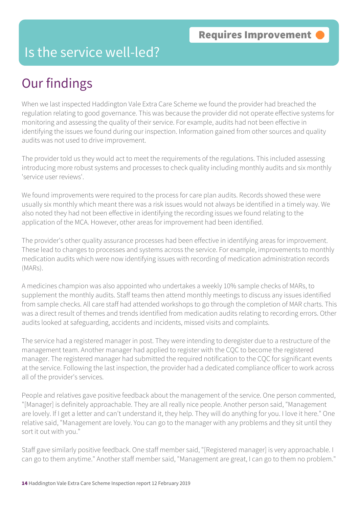#### Is the service well-led?

## Our findings

When we last inspected Haddington Vale Extra Care Scheme we found the provider had breached the regulation relating to good governance. This was because the provider did not operate effective systems for monitoring and assessing the quality of their service. For example, audits had not been effective in identifying the issues we found during our inspection. Information gained from other sources and quality audits was not used to drive improvement.

The provider told us they would act to meet the requirements of the regulations. This included assessing introducing more robust systems and processes to check quality including monthly audits and six monthly 'service user reviews'.

We found improvements were required to the process for care plan audits. Records showed these were usually six monthly which meant there was a risk issues would not always be identified in a timely way. We also noted they had not been effective in identifying the recording issues we found relating to the application of the MCA. However, other areas for improvement had been identified.

The provider's other quality assurance processes had been effective in identifying areas for improvement. These lead to changes to processes and systems across the service. For example, improvements to monthly medication audits which were now identifying issues with recording of medication administration records (MARs).

A medicines champion was also appointed who undertakes a weekly 10% sample checks of MARs, to supplement the monthly audits. Staff teams then attend monthly meetings to discuss any issues identified from sample checks. All care staff had attended workshops to go through the completion of MAR charts. This was a direct result of themes and trends identified from medication audits relating to recording errors. Other audits looked at safeguarding, accidents and incidents, missed visits and complaints.

The service had a registered manager in post. They were intending to deregister due to a restructure of the management team. Another manager had applied to register with the CQC to become the registered manager. The registered manager had submitted the required notification to the CQC for significant events at the service. Following the last inspection, the provider had a dedicated compliance officer to work across all of the provider's services.

People and relatives gave positive feedback about the management of the service. One person commented, "[Manager] is definitely approachable. They are all really nice people. Another person said, "Management are lovely. If I get a letter and can't understand it, they help. They will do anything for you. I love it here." One relative said, "Management are lovely. You can go to the manager with any problems and they sit until they sort it out with you."

Staff gave similarly positive feedback. One staff member said, "[Registered manager] is very approachable. I can go to them anytime." Another staff member said, "Management are great, I can go to them no problem."